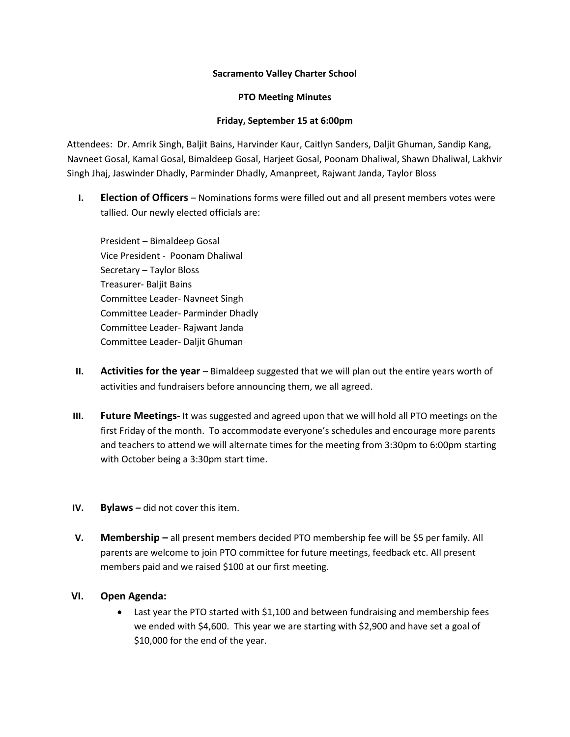## **Sacramento Valley Charter School**

## **PTO Meeting Minutes**

## **Friday, September 15 at 6:00pm**

Attendees: Dr. Amrik Singh, Baljit Bains, Harvinder Kaur, Caitlyn Sanders, Daljit Ghuman, Sandip Kang, Navneet Gosal, Kamal Gosal, Bimaldeep Gosal, Harjeet Gosal, Poonam Dhaliwal, Shawn Dhaliwal, Lakhvir Singh Jhaj, Jaswinder Dhadly, Parminder Dhadly, Amanpreet, Rajwant Janda, Taylor Bloss

**I. Election of Officers** – Nominations forms were filled out and all present members votes were tallied. Our newly elected officials are:

President – Bimaldeep Gosal Vice President - Poonam Dhaliwal Secretary – Taylor Bloss Treasurer- Baljit Bains Committee Leader- Navneet Singh Committee Leader- Parminder Dhadly Committee Leader- Rajwant Janda Committee Leader- Daljit Ghuman

- **II. Activities for the year** Bimaldeep suggested that we will plan out the entire years worth of activities and fundraisers before announcing them, we all agreed.
- **III. Future Meetings-** It was suggested and agreed upon that we will hold all PTO meetings on the first Friday of the month. To accommodate everyone's schedules and encourage more parents and teachers to attend we will alternate times for the meeting from 3:30pm to 6:00pm starting with October being a 3:30pm start time.
- **IV. Bylaws –** did not cover this item.
- **V. Membership –** all present members decided PTO membership fee will be \$5 per family. All parents are welcome to join PTO committee for future meetings, feedback etc. All present members paid and we raised \$100 at our first meeting.

## **VI. Open Agenda:**

• Last year the PTO started with \$1,100 and between fundraising and membership fees we ended with \$4,600. This year we are starting with \$2,900 and have set a goal of \$10,000 for the end of the year.